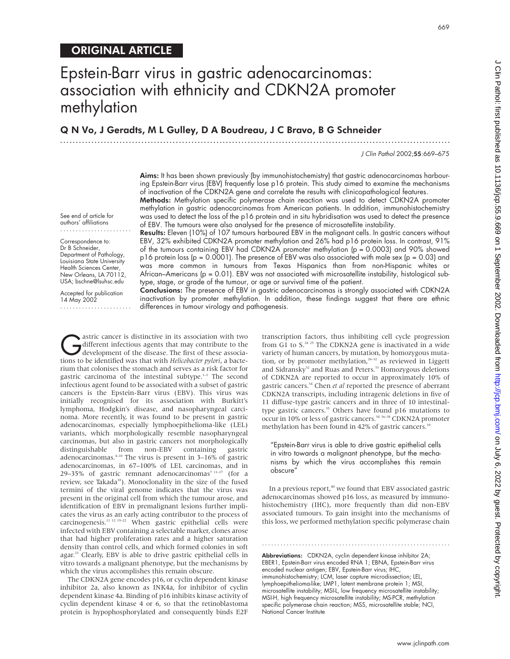# ORIGINAL ARTICLE

# Epstein-Barr virus in gastric adenocarcinomas: association with ethnicity and CDKN2A promoter methylation

Q N Vo, J Geradts, M L Gulley, D A Boudreau, J C Bravo, B G Schneider

.............................................................................................................................

J Clin Pathol 2002;55:669–675

Aims: It has been shown previously (by immunohistochemistry) that gastric adenocarcinomas harbouring Epstein-Barr virus (EBV) frequently lose p16 protein. This study aimed to examine the mechanisms of inactivation of the CDKN2A gene and correlate the results with clinicopathological features.

Methods: Methylation specific polymerase chain reaction was used to detect CDKN2A promoter methylation in gastric adenocarcinomas from American patients. In addition, immunohistochemistry was used to detect the loss of the p16 protein and in situ hybridisation was used to detect the presence of EBV. The tumours were also analysed for the presence of microsatellite instability.

Results: Eleven (10%) of 107 tumours harboured EBV in the malignant cells. In gastric cancers without EBV, 32% exhibited CDKN2A promoter methylation and 26% had p16 protein loss. In contrast, 91% of the tumours containing EBV had CDKN2A promoter methylation (p = 0.0003) and 90% showed p16 protein loss (p = 0.0001). The presence of EBV was also associated with male sex (p = 0.03) and was more common in tumours from Texas Hispanics than from non-Hispanic whites or African–Americans ( $p = 0.01$ ). EBV was not associated with microsatellite instability, histological subtype, stage, or grade of the tumour, or age or survival time of the patient.

Conclusions: The presence of EBV in gastric adenocarcinomas is strongly associated with CDKN2A inactivation by promoter methylation. In addition, these findings suggest that there are ethnic differences in tumour virology and pathogenesis.

different infectious agents that may contribute to the<br>development of the disease. The first of these associa-<br>tions to be identified was that with *Helicohacter nulori* a bactedifferent infectious agents that may contribute to the tions to be identified was that with *Helicobacter pylori*, a bacterium that colonises the stomach and serves as a risk factor for gastric carcinoma of the intestinal subtype.<sup>1-3</sup> The second infectious agent found to be associated with a subset of gastric cancers is the Epstein-Barr virus (EBV). This virus was initially recognised for its association with Burkitt's lymphoma, Hodgkin's disease, and nasopharyngeal carcinoma. More recently, it was found to be present in gastric adenocarcinomas, especially lymphoepithelioma-like (LEL) variants, which morphologically resemble nasopharyngeal carcinomas, but also in gastric cancers not morphologically distinguishable from non-EBV containing gastric adenocarcinomas.4–10 The virus is present in 3–16% of gastric adenocarcinomas, in 67–100% of LEL carcinomas, and in 29–35% of gastric remnant adenocarcinomas<sup>7 11-17</sup> (for a review, see Takada<sup>18</sup>). Monoclonality in the size of the fused termini of the viral genome indicates that the virus was present in the original cell from which the tumour arose, and identification of EBV in premalignant lesions further implicates the virus as an early acting contributor to the process of carcinogenesis.11 12 19–22 When gastric epithelial cells were infected with EBV containing a selectable marker, clones arose that had higher proliferation rates and a higher saturation density than control cells, and which formed colonies in soft agar.23 Clearly, EBV is able to drive gastric epithelial cells in vitro towards a malignant phenotype, but the mechanisms by which the virus accomplishes this remain obscure.

The CDKN2A gene encodes p16, or cyclin dependent kinase inhibitor 2a, also known as INK4a, for inhibitor of cyclin dependent kinase 4a. Binding of p16 inhibits kinase activity of cyclin dependent kinase 4 or 6, so that the retinoblastoma protein is hypophosphorylated and consequently binds E2F

transcription factors, thus inhibiting cell cycle progression from G1 to  $S<sup>24-25</sup>$  The CDKN2A gene is inactivated in a wide variety of human cancers, by mutation, by homozygous mutation, or by promoter methylation,<sup>26-32</sup> as reviewed in Liggett and Sidransky<sup>32</sup> and Ruas and Peters.<sup>33</sup> Homozygous deletions of CDKN2A are reported to occur in approximately 10% of gastric cancers.34 Chen *et al* reported the presence of aberrant CDKN2A transcripts, including intragenic deletions in five of 11 diffuse-type gastric cancers and in three of 10 intestinaltype gastric cancers.<sup>35</sup> Others have found p16 mutations to occur in 10% or less of gastric cancers.<sup>34 36–38</sup> CDKN2A promoter methylation has been found in 42% of gastric cancers.<sup>39</sup>

"Epstein-Barr virus is able to drive gastric epithelial cells in vitro towards a malignant phenotype, but the mechanisms by which the virus accomplishes this remain obscure"

In a previous report,<sup>40</sup> we found that EBV associated gastric adenocarcinomas showed p16 loss, as measured by immunohistochemistry (IHC), more frequently than did non-EBV associated tumours. To gain insight into the mechanisms of this loss, we performed methylation specific polymerase chain

Abbreviations: CDKN2A, cyclin dependent kinase inhibitor 2A; EBER1, Epstein-Barr virus encoded RNA 1; EBNA, Epstein-Barr virus encoded nuclear antigen; EBV, Epstein-Barr virus; IHC, immunohistochemistry; LCM, laser capture microdissection; LEL, lymphoepithelioma-like; LMP1, latent membrane protein 1; MSI, microsatellite instability; MSI-L, low frequency microsatellite instability; MSI-H, high frequency microsatellite instability; MS-PCR, methylation specific polymerase chain reaction; MSS, microsatellite stable; NCI, National Cancer Institute

#### www.jclinpath.com

669

See end of article for authors' affiliations .......................

Correspondence to: Dr B Schneider, Department of Pathology, Louisiana State University Health Sciences Center, New Orleans, LA 70112, USA; bschne@lsuhsc.edu

Accepted for publication 14 May 2002 .......................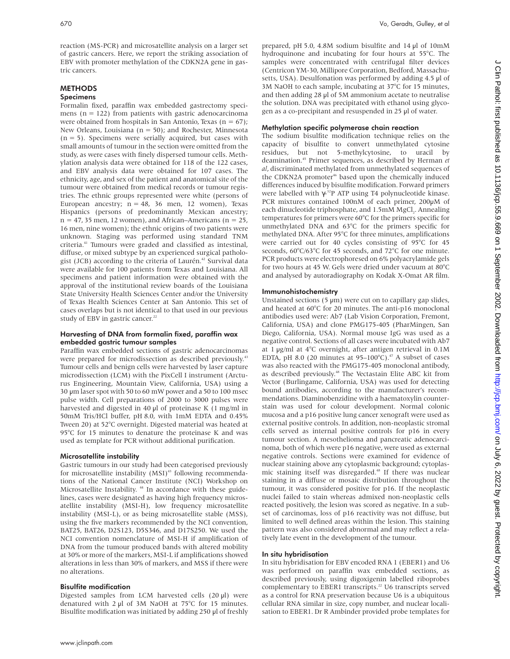reaction (MS-PCR) and microsatellite analysis on a larger set of gastric cancers. Here, we report the striking association of EBV with promoter methylation of the CDKN2A gene in gastric cancers.

# **METHODS**

# Specimens

Formalin fixed, paraffin wax embedded gastrectomy specimens ( $n = 122$ ) from patients with gastric adenocarcinoma were obtained from hospitals in San Antonio, Texas ( $n = 67$ ); New Orleans, Louisiana ( $n = 50$ ); and Rochester, Minnesota  $(n = 5)$ . Specimens were serially acquired, but cases with small amounts of tumour in the section were omitted from the study, as were cases with finely dispersed tumour cells. Methylation analysis data were obtained for 118 of the 122 cases, and EBV analysis data were obtained for 107 cases. The ethnicity, age, and sex of the patient and anatomical site of the tumour were obtained from medical records or tumour registries. The ethnic groups represented were white (persons of European ancestry;  $n = 48$ , 36 men, 12 women), Texas Hispanics (persons of predominantly Mexican ancestry;  $n = 47, 35$  men, 12 women), and African–Americans ( $n = 25$ , 16 men, nine women); the ethnic origins of two patients were unknown. Staging was performed using standard TNM criteria.41 Tumours were graded and classified as intestinal, diffuse, or mixed subtype by an experienced surgical pathologist (JCB) according to the criteria of Laurén.<sup>42</sup> Survival data were available for 100 patients from Texas and Louisiana. All specimens and patient information were obtained with the approval of the institutional review boards of the Louisiana State University Health Sciences Center and/or the University of Texas Health Sciences Center at San Antonio. This set of cases overlaps but is not identical to that used in our previous study of EBV in gastric cancer.<sup>22</sup>

# Harvesting of DNA from formalin fixed, paraffin wax embedded gastric tumour samples

Paraffin wax embedded sections of gastric adenocarcinomas were prepared for microdissection as described previously.<sup>43</sup> Tumour cells and benign cells were harvested by laser capture microdissection (LCM) with the PixCell I instrument (Arcturus Engineering, Mountain View, California, USA) using a 30 µm laser spot with 50 to 60 mW power and a 50 to 100 msec pulse width. Cell preparations of 2000 to 3000 pulses were harvested and digested in 40 µl of proteinase K (1 mg/ml in 50mM Tris/HCl buffer, pH 8.0, with 1mM EDTA and 0.45% Tween 20) at 52°C overnight. Digested material was heated at 95°C for 15 minutes to denature the proteinase K and was used as template for PCR without additional purification.

# Microsatellite instability

Gastric tumours in our study had been categorised previously for microsatellite instability (MSI)<sup>43</sup> following recommendations of the National Cancer Institute (NCI) Workshop on Microsatellite Instability.<sup>44</sup> In accordance with these guidelines, cases were designated as having high frequency microsatellite instability (MSI-H), low frequency microsatellite instability (MSI-L), or as being microsatellite stable (MSS), using the five markers recommended by the NCI convention, BAT25, BAT26, D2S123, D5S346, and D17S250. We used the NCI convention nomenclature of MSI-H if amplification of DNA from the tumour produced bands with altered mobility at 30% or more of the markers, MSI-L if amplifications showed alterations in less than 30% of markers, and MSS if there were no alterations.

#### Bisulfite modification

Digested samples from LCM harvested cells (20 µl) were denatured with  $2 \mu$ l of  $3M$  NaOH at  $75^{\circ}$ C for 15 minutes. Bisulfite modification was initiated by adding 250 µl of freshly

prepared, pH 5.0, 4.8M sodium bisulfite and 14 µl of 10mM hydroquinone and incubating for four hours at 55°C. The samples were concentrated with centrifugal filter devices (Centricon YM-30, Millipore Corporation, Bedford, Massachusetts, USA). Desulfonation was performed by adding 4.5 µl of 3M NaOH to each sample, incubating at 37°C for 15 minutes, and then adding 28 µl of 5M ammonium acetate to neutralise the solution. DNA was precipitated with ethanol using glycogen as a co-precipitant and resuspended in 25 µl of water.

# Methylation specific polymerase chain reaction

The sodium bisulfite modification technique relies on the capacity of bisulfite to convert unmethylated cytosine residues, but not 5-methylcytosine, to uracil by deamination.45 Primer sequences, as described by Herman *et al*, discriminated methylated from unmethylated sequences of the CDKN2A promoter<sup>46</sup> based upon the chemically induced differences induced by bisulfite modification. Forward primers were labelled with  $\gamma$ -<sup>32</sup>P ATP using T4 polynucleotide kinase. PCR mixtures contained 100nM of each primer, 200µM of each dinucleotide triphosphate, and 1.5mM MgCl<sub>2</sub>. Annealing temperatures for primers were 60°C for the primers specific for unmethylated DNA and 63°C for the primers specific for methylated DNA. After 95°C for three minutes, amplifications were carried out for 40 cycles consisting of 95°C for 45 seconds, 60°C/63°C for 45 seconds, and 72°C for one minute. PCR products were electrophoresed on 6% polyacrylamide gels for two hours at 45 W. Gels were dried under vacuum at 80°C and analysed by autoradiography on Kodak X-Omat AR film.

#### Immunohistochemistry

Unstained sections (5  $\mu$ m) were cut on to capillary gap slides, and heated at 60°C for 20 minutes. The anti-p16 monoclonal antibodies used were: Ab7 (Lab Vision Corporation, Fremont, California, USA) and clone PMG175-405 (PharMingen, San Diego, California, USA). Normal mouse IgG was used as a negative control. Sections of all cases were incubated with Ab7 at 1 µg/ml at 4°C overnight, after antigen retrieval in 0.1M EDTA, pH 8.0 (20 minutes at  $95-100^{\circ}$ C).<sup>47</sup> A subset of cases was also reacted with the PMG175-405 monoclonal antibody, as described previously.<sup>48</sup> The Vectastain Elite ABC kit from Vector (Burlingame, California, USA) was used for detecting bound antibodies, according to the manufacturer's recommendations. Diaminobenzidine with a haematoxylin counterstain was used for colour development. Normal colonic mucosa and a p16 positive lung cancer xenograft were used as external positive controls. In addition, non-neoplastic stromal cells served as internal positive controls for p16 in every tumour section. A mesothelioma and pancreatic adenocarcinoma, both of which were p16 negative, were used as external negative controls. Sections were examined for evidence of nuclear staining above any cytoplasmic background; cytoplasmic staining itself was disregarded.<sup>48</sup> If there was nuclear staining in a diffuse or mosaic distribution throughout the tumour, it was considered positive for p16. If the neoplastic nuclei failed to stain whereas admixed non-neoplastic cells reacted positively, the lesion was scored as negative. In a subset of carcinomas, loss of p16 reactivity was not diffuse, but limited to well defined areas within the lesion. This staining pattern was also considered abnormal and may reflect a relatively late event in the development of the tumour.

#### In situ hybridisation

In situ hybridisation for EBV encoded RNA 1 (EBER1) and U6 was performed on paraffin wax embedded sections, as described previously, using digoxigenin labelled riboprobes complementary to EBER1 transcripts.<sup>22</sup> U6 transcripts served as a control for RNA preservation because U6 is a ubiquitous cellular RNA similar in size, copy number, and nuclear localisation to EBER1. Dr R Ambinder provided probe templates for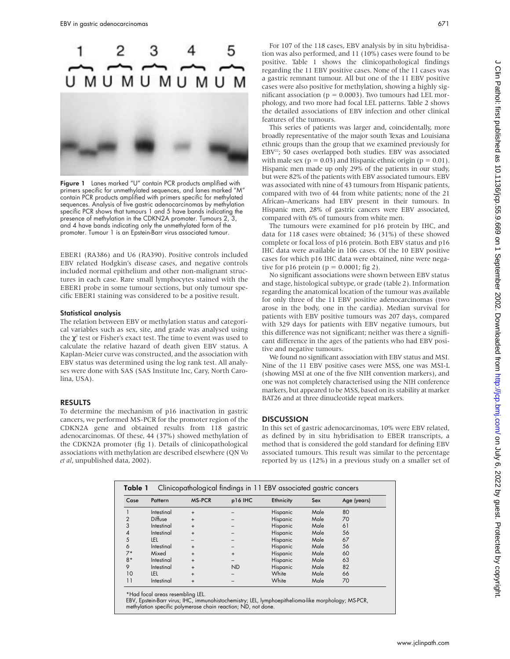

Figure 1 Lanes marked "U" contain PCR products amplified with primers specific for unmethylated sequences, and lanes marked "M" contain PCR products amplified with primers specific for methylated sequences. Analysis of five gastric adenocarcinomas by methylation specific PCR shows that tumours 1 and 5 have bands indicating the presence of methylation in the CDKN2A promoter. Tumours 2, 3, and 4 have bands indicating only the unmethylated form of the promoter. Tumour 1 is an Epstein-Barr virus associated tumour.

EBER1 (RA386) and U6 (RA390). Positive controls included EBV related Hodgkin's disease cases, and negative controls included normal epithelium and other non-malignant structures in each case. Rare small lymphocytes stained with the EBER1 probe in some tumour sections, but only tumour specific EBER1 staining was considered to be a positive result.

#### Statistical analysis

The relation between EBV or methylation status and categorical variables such as sex, site, and grade was analysed using the  $\chi^2$  test or Fisher's exact test. The time to event was used to calculate the relative hazard of death given EBV status. A Kaplan-Meier curve was constructed, and the association with EBV status was determined using the log rank test. All analyses were done with SAS (SAS Institute Inc, Cary, North Carolina, USA).

#### RESULTS

To determine the mechanism of p16 inactivation in gastric cancers, we performed MS-PCR for the promoter region of the CDKN2A gene and obtained results from 118 gastric adenocarcinomas. Of these, 44 (37%) showed methylation of the CDKN2A promoter (fig 1). Details of clinicopathological associations with methylation are described elsewhere (QN Vo *et al*, unpublished data, 2002).

For 107 of the 118 cases, EBV analysis by in situ hybridisation was also performed, and 11 (10%) cases were found to be positive. Table 1 shows the clinicopathological findings regarding the 11 EBV positive cases. None of the 11 cases was a gastric remnant tumour. All but one of the 11 EBV positive cases were also positive for methylation, showing a highly significant association ( $p = 0.0003$ ). Two tumours had LEL morphology, and two more had focal LEL patterns. Table 2 shows the detailed associations of EBV infection and other clinical features of the tumours.

This series of patients was larger and, coincidentally, more broadly representative of the major south Texas and Louisiana ethnic groups than the group that we examined previously for  $EBV<sup>22</sup>$ ; 50 cases overlapped both studies. EBV was associated with male sex ( $p = 0.03$ ) and Hispanic ethnic origin ( $p = 0.01$ ). Hispanic men made up only 29% of the patients in our study, but were 82% of the patients with EBV associated tumours. EBV was associated with nine of 43 tumours from Hispanic patients, compared with two of 44 from white patients; none of the 21 African–Americans had EBV present in their tumours. In Hispanic men, 28% of gastric cancers were EBV associated, compared with 6% of tumours from white men.

The tumours were examined for p16 protein by IHC, and data for 118 cases were obtained; 36 (31%) of these showed complete or focal loss of p16 protein. Both EBV status and p16 IHC data were available in 106 cases. Of the 10 EBV positive cases for which p16 IHC data were obtained, nine were negative for p16 protein ( $p = 0.0001$ ; fig 2).

No significant associations were shown between EBV status and stage, histological subtype, or grade (table 2). Information regarding the anatomical location of the tumour was available for only three of the 11 EBV positive adenocarcinomas (two arose in the body, one in the cardia). Median survival for patients with EBV positive tumours was 207 days, compared with 329 days for patients with EBV negative tumours, but this difference was not significant; neither was there a significant difference in the ages of the patients who had EBV positive and negative tumours.

We found no significant association with EBV status and MSI. Nine of the 11 EBV positive cases were MSS, one was MSI-L (showing MSI at one of the five NIH convention markers), and one was not completely characterised using the NIH conference markers, but appeared to be MSS, based on its stability at marker BAT26 and at three dinucleotide repeat markers.

#### **DISCUSSION**

In this set of gastric adenocarcinomas, 10% were EBV related, as defined by in situ hybridisation to EBER transcripts, a method that is considered the gold standard for defining EBV associated tumours. This result was similar to the percentage reported by us (12%) in a previous study on a smaller set of

| Clinicopathological findings in 11 EBV associated gastric cancers<br>Table 1 |            |               |           |                 |      |             |
|------------------------------------------------------------------------------|------------|---------------|-----------|-----------------|------|-------------|
| Case                                                                         | Pattern    | <b>MS-PCR</b> | p16 IHC   | Ethnicity       | Sex  | Age (years) |
|                                                                              | Intestinal | $\ddot{}$     |           | <b>Hispanic</b> | Male | 80          |
| $\overline{2}$                                                               | Diffuse    | $\ddot{}$     |           | <b>Hispanic</b> | Male | 70          |
| 3                                                                            | Intestinal | $\ddot{}$     |           | Hispanic        | Male | 61          |
| 4                                                                            | Intestinal | $\ddot{}$     |           | Hispanic        | Male | 56          |
| 5                                                                            | LEL        |               |           | Hispanic        | Male | 67          |
| 6                                                                            | Intestinal | $\ddot{}$     |           | <b>Hispanic</b> | Male | 56          |
| $7*$                                                                         | Mixed      | $\ddot{}$     | $\ddot{}$ | <b>Hispanic</b> | Male | 60          |
| $8*$                                                                         | Intestinal | $\ddot{}$     |           | Hispanic        | Male | 63          |
| 9                                                                            | Intestinal | $\ddot{}$     | ND        | <b>Hispanic</b> | Male | 82          |
| 10                                                                           | LEL        | $\ddot{}$     |           | White           | Male | 66          |
| 11                                                                           | Intestinal | $\ddot{}$     |           | White           | Male | 70          |

\*Had focal areas resembling LEL.

EBV, Epstein-Barr virus; IHC, immunohistochemistry; LEL, lymphoepithelioma-like morphology; MS-PCR, methylation specific polymerase chain reaction; ND, not done.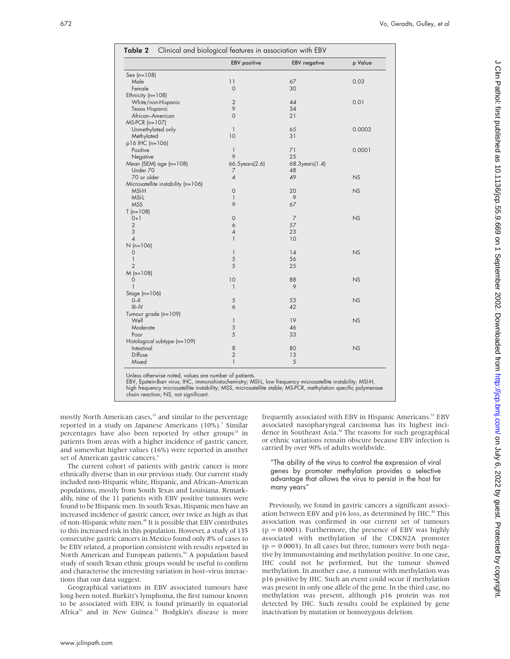|                                       | <b>EBV</b> positive | <b>EBV</b> negative | p Value   |
|---------------------------------------|---------------------|---------------------|-----------|
| $Sex (n = 108)$                       |                     |                     |           |
| Male                                  | 11                  | 67                  | 0.03      |
| Female                                | $\mathbf 0$         | 30                  |           |
| Ethnicity $(n=108)$                   |                     |                     |           |
| White/non-Hispanic                    | $\overline{2}$      | 44                  | 0.01      |
| <b>Texas Hispanic</b>                 | 9                   | 34                  |           |
| African-American                      | $\mathbf 0$         | 21                  |           |
| $MS-PCR$ (n=107)                      |                     |                     |           |
| Unmethylated only                     | $\mathbf{1}$        | 65                  | 0.0003    |
| Methylated                            | 10                  | 31                  |           |
| p16 IHC (n=106)                       |                     |                     |           |
| Positive                              | $\mathbf{1}$        | 71                  | 0.0001    |
| Negative                              | $\circ$             | 25                  |           |
| Mean (SEM) age (n=108)                | 66.5years(2.6)      | 68.3years(1.4)      |           |
| Under 70                              | 7                   | 48                  |           |
| 70 or older                           | $\overline{4}$      | 49                  | <b>NS</b> |
| Microsatellite instability (n=106)    |                     |                     |           |
| MSI-H                                 | 0                   | 20                  | <b>NS</b> |
| MSI-L                                 | $\mathbf{1}$        | 9                   |           |
| <b>MSS</b>                            | 9                   | 67                  |           |
| $T(n=108)$                            |                     |                     |           |
| $0+1$                                 | $\mathbf 0$         | $\overline{7}$      | NS        |
| $\overline{2}$                        | 6                   | 57                  |           |
| 3                                     | $\overline{4}$      | 23                  |           |
| $\overline{4}$                        | $\mathbf{1}$        |                     |           |
|                                       |                     | 10                  |           |
| $N(n=106)$                            |                     |                     |           |
| $\mathbf 0$                           | $\mathbf{1}$        | 14                  | <b>NS</b> |
| $\begin{array}{c} \hline \end{array}$ | 5                   | 56                  |           |
| $\overline{2}$                        | 5                   | 25                  |           |
| $M(n=108)$                            |                     |                     |           |
| 0                                     | 10                  | 88                  | <b>NS</b> |
| $\mathbf{1}$                          | $\mathbf{1}$        | 9                   |           |
| Stage $(n=106)$                       |                     |                     |           |
| $O-H$                                 | $\sqrt{5}$          | 53                  | <b>NS</b> |
| $III - IV$                            | 6                   | 42                  |           |
| Tumour grade (n=109)                  |                     |                     |           |
| Well                                  | 1                   | 19                  | <b>NS</b> |
| Moderate                              | 5                   | 46                  |           |
| Poor                                  | 5                   | 33                  |           |
| Histological subtype (n=109)          |                     |                     |           |
| Intestinal                            | 8                   | 80                  | NS        |
| Diffuse                               | $\overline{2}$      | 13                  |           |
| Mixed                                 | $\mathbf{1}$        | 5                   |           |

Unless otherwise noted, values are number of patients.

EBV, Epstein-Barr virus; IHC, immunohistochemistry; MSI-L, low frequency microsatellite instability; MSI-H, high frequency microsatellite instability; MSS, microsatellite stable; MS-PCR, methylation specific polymerase chain reaction; NS, not significant.

mostly North American cases,<sup>22</sup> and similar to the percentage reported in a study on Japanese Americans (10%).<sup>7</sup> Similar percentages have also been reported by other groups<sup>18</sup> in patients from areas with a higher incidence of gastric cancer, and somewhat higher values (16%) were reported in another set of American gastric cancers.<sup>5</sup>

The current cohort of patients with gastric cancer is more ethnically diverse than in our previous study. Our current study included non-Hispanic white, Hispanic, and African–American populations, mostly from South Texas and Louisiana. Remarkably, nine of the 11 patients with EBV positive tumours were found to be Hispanic men. In south Texas, Hispanic men have an increased incidence of gastric cancer, over twice as high as that of non-Hispanic white men.49 It is possible that EBV contributes to this increased risk in this population. However, a study of 135 consecutive gastric cancers in Mexico found only 8% of cases to be EBV related, a proportion consistent with results reported in North American and European patients.<sup>50</sup> A population based study of south Texan ethnic groups would be useful to confirm and characterise the interesting variation in host–virus interactions that our data suggest.

Geographical variations in EBV associated tumours have long been noted. Burkitt's lymphoma, the first tumour known to be associated with EBV, is found primarily in equatorial Africa<sup>51</sup> and in New Guinea.<sup>52</sup> Hodgkin's disease is more

frequently associated with EBV in Hispanic Americans.<sup>53</sup> EBV associated nasopharyngeal carcinoma has its highest incidence in Southeast Asia.54 The reasons for such geographical or ethnic variations remain obscure because EBV infection is carried by over 90% of adults worldwide.

"The ability of the virus to control the expression of viral genes by promoter methylation provides a selective advantage that allows the virus to persist in the host for many years"

Previously, we found in gastric cancers a significant association between EBV and p16 loss, as determined by IHC.<sup>40</sup> This association was confirmed in our current set of tumours  $(p = 0.0001)$ . Furthermore, the presence of EBV was highly associated with methylation of the CDKN2A promoter  $(p = 0.0003)$ . In all cases but three, tumours were both negative by immunostaining and methylation positive. In one case, IHC could not be performed, but the tumour showed methylation. In another case, a tumour with methylation was p16 positive by IHC. Such an event could occur if methylation was present in only one allele of the gene. In the third case, no methylation was present, although p16 protein was not detected by IHC. Such results could be explained by gene inactivation by mutation or homozygous deletion.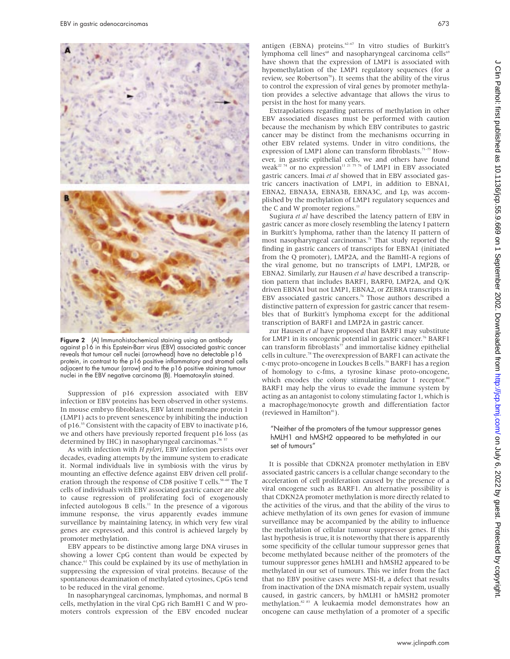

Figure 2 (A) Immunohistochemical staining using an antibody against p16 in this Epstein-Barr virus (EBV) associated gastric cancer reveals that tumour cell nuclei (arrowhead) have no detectable p16 protein, in contrast to the p16 positive inflammatory and stromal cells adjacent to the tumour (arrow) and to the p16 positive staining tumour nuclei in the EBV negative carcinoma (B). Haematoxylin stained.

Suppression of p16 expression associated with EBV infection or EBV proteins has been observed in other systems. In mouse embryo fibroblasts, EBV latent membrane protein 1 (LMP1) acts to prevent senescence by inhibiting the induction of p16.55 Consistent with the capacity of EBV to inactivate p16, we and others have previously reported frequent p16 loss (as determined by IHC) in nasopharyngeal carcinomas.<sup>56 57</sup>

As with infection with *H pylori*, EBV infection persists over decades, evading attempts by the immune system to eradicate it. Normal individuals live in symbiosis with the virus by mounting an effective defence against EBV driven cell proliferation through the response of CD8 positive T cells.<sup>58–60</sup> The T cells of individuals with EBV associated gastric cancer are able to cause regression of proliferating foci of exogenously infected autologous B cells.<sup>11</sup> In the presence of a vigorous immune response, the virus apparently evades immune surveillance by maintaining latency, in which very few viral genes are expressed, and this control is achieved largely by promoter methylation.

EBV appears to be distinctive among large DNA viruses in showing a lower CpG content than would be expected by chance.<sup>61</sup> This could be explained by its use of methylation in suppressing the expression of viral proteins. Because of the spontaneous deamination of methylated cytosines, CpGs tend to be reduced in the viral genome.

In nasopharyngeal carcinomas, lymphomas, and normal B cells, methylation in the viral CpG rich BamH1 C and W promoters controls expression of the EBV encoded nuclear antigen (EBNA) proteins.<sup>62-67</sup> In vitro studies of Burkitt's lymphoma cell lines<sup>68</sup> and nasopharyngeal carcinoma cells<sup>69</sup> have shown that the expression of LMP1 is associated with hypomethylation of the LMP1 regulatory sequences (for a review, see Robertson<sup>70</sup>). It seems that the ability of the virus to control the expression of viral genes by promoter methylation provides a selective advantage that allows the virus to persist in the host for many years.

Extrapolations regarding patterns of methylation in other EBV associated diseases must be performed with caution because the mechanism by which EBV contributes to gastric cancer may be distinct from the mechanisms occurring in other EBV related systems. Under in vitro conditions, the expression of LMP1 alone can transform fibroblasts.<sup>71-73</sup> However, in gastric epithelial cells, we and others have found weak<sup>22 74</sup> or no expression<sup>11 21 75 76</sup> of LMP1 in EBV associated gastric cancers. Imai *et al* showed that in EBV associated gastric cancers inactivation of LMP1, in addition to EBNA1, EBNA2, EBNA3A, EBNA3B, EBNA3C, and Lp, was accomplished by the methylation of LMP1 regulatory sequences and the C and W promoter regions. $11$ 

Sugiura *et al* have described the latency pattern of EBV in gastric cancer as more closely resembling the latency I pattern in Burkitt's lymphoma, rather than the latency II pattern of most nasopharyngeal carcinomas.75 That study reported the finding in gastric cancers of transcripts for EBNA1 (initiated from the Q promoter), LMP2A, and the BamHI-A regions of the viral genome, but no transcripts of LMP1, LMP2B, or EBNA2. Similarly, zur Hausen *et al* have described a transcription pattern that includes BARF1, BARF0, LMP2A, and Q/K driven EBNA1 but not LMP1, EBNA2, or ZEBRA transcripts in EBV associated gastric cancers.<sup>76</sup> Those authors described a distinctive pattern of expression for gastric cancer that resembles that of Burkitt's lymphoma except for the additional transcription of BARF1 and LMP2A in gastric cancer.

zur Hausen *et al* have proposed that BARF1 may substitute for LMP1 in its oncogenic potential in gastric cancer.<sup>76</sup> BARF1 can transform fibroblasts $77$  and immortalise kidney epithelial cells in culture.78 The overexpression of BARF1 can activate the c-myc proto-oncogene in Louckes B cells.<sup>79</sup> BARF1 has a region of homology to c-fms, a tyrosine kinase proto-oncogene, which encodes the colony stimulating factor 1 receptor.<sup>80</sup> BARF1 may help the virus to evade the immune system by acting as an antagonist to colony stimulating factor 1, which is a macrophage/monocyte growth and differentiation factor (reviewed in Hamilton<sup>81</sup>).

# "Neither of the promoters of the tumour suppressor genes hMLH1 and hMSH2 appeared to be methylated in our set of tumours"

It is possible that CDKN2A promoter methylation in EBV associated gastric cancers is a cellular change secondary to the acceleration of cell proliferation caused by the presence of a viral oncogene such as BARF1. An alternative possibility is that CDKN2A promoter methylation is more directly related to the activities of the virus, and that the ability of the virus to achieve methylation of its own genes for evasion of immune surveillance may be accompanied by the ability to influence the methylation of cellular tumour suppressor genes. If this last hypothesis is true, it is noteworthy that there is apparently some specificity of the cellular tumour suppressor genes that become methylated because neither of the promoters of the tumour suppressor genes hMLH1 and hMSH2 appeared to be methylated in our set of tumours. This we infer from the fact that no EBV positive cases were MSI-H, a defect that results from inactivation of the DNA mismatch repair system, usually caused, in gastric cancers, by hMLH1 or hMSH2 promoter methylation.<sup>82 83</sup> A leukaemia model demonstrates how an oncogene can cause methylation of a promoter of a specific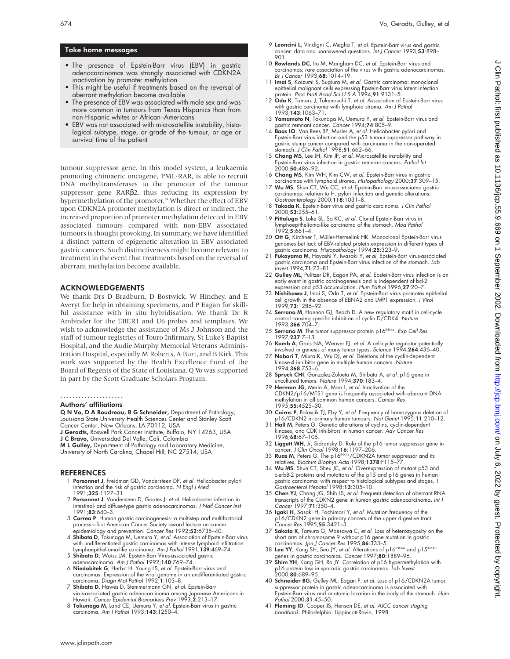# Take home messages

- The presence of Epstein-Barr virus (EBV) in gastric adenocarcinomas was strongly associated with CDKN2A inactivation by promoter methylation
- This might be useful if treatments based on the reversal of aberrant methylation become available
- The presence of EBV was associated with male sex and was more common in tumours from Texas Hispanics than from non-Hispanic whites or African–Americans
- EBV was not associated with microsatellite instability, histological subtype, stage, or grade of the tumour, or age or survival time of the patient

tumour suppressor gene. In this model system, a leukaemia promoting chimaeric oncogene, PML-RAR, is able to recruit DNA methyltransferases to the promoter of the tumour suppressor gene RARβ2, thus reducing its expression by hypermethylation of the promoter.<sup>84</sup> Whether the effect of EBV upon CDKN2A promoter methylation is direct or indirect, the increased proportion of promoter methylation detected in EBV associated tumours compared with non-EBV associated tumours is thought provoking. In summary, we have identified a distinct pattern of epigenetic alteration in EBV associated gastric cancers. Such distinctiveness might become relevant to treatment in the event that treatments based on the reversal of aberrant methylation become available.

### ACKNOWLEDGEMENTS

We thank Drs D Bradburn, D Bostwick, W Hinchey, and E Averyt for help in obtaining specimens, and P Eagan for skillful assistance with in situ hybridisation. We thank Dr R Ambinder for the EBER1 and U6 probes and templates. We wish to acknowledge the assistance of Ms J Johnson and the staff of tumour registries of Touro Infirmary, St Luke's Baptist Hospital, and the Audie Murphy Memorial Veterans Administration Hospital, especially M Roberts, A Burt, and B Kirk. This work was supported by the Health Excellence Fund of the Board of Regents of the State of Louisiana. Q Vo was supported in part by the Scott Graduate Scholars Program.

#### ..................... Authors' affiliations

Q N Vo, D A Boudreau, B G Schneider, Department of Pathology,

Louisiana State University Health Sciences Center and Stanley Scott Cancer Center, New Orleans, LA 70112, USA

J Geradts, Roswell Park Cancer Institute, Buffalo, NY 14263, USA J C Bravo, Universidad Del Valle, Cali, Colombia

M L Gulley, Department of Pathology and Laboratory Medicine, University of North Carolina, Chapel Hill, NC 27514, USA

#### REFERENCES

- 1 Parsonnet J, Freidman GD, Vandersteen DP, et al. Helicobacter pylori infection and the risk of gastric carcinoma. N Engl J Med 1991;325:1127–31.
- 2 Parsonnet J, Vandersteen D, Goates J, et al. Helicobacter infection in intestinal- and diffuse-type gastric adenocarcinomas. J Natl Cancer Inst 1991;83:640–3.
- 3 Correa P. Human gastric carcinogenesis: a multistep and multifactorial process—first American Cancer Society award lecture on cancer epidemiology and prevention. *Cancer Res* 1992;**52**:6735–40.
- 4 Shibata D, Tokunaga M, Uemura Y, et al. Association of Epstein-Barr virus with undifferentiated gastric carcinomas with intense lymphoid infiltration. Lymphoepithelioma-like carcinoma. Am J Pathol 1991;139:469-74.
- 5 Shibata D, Weiss LM. Epstein-Barr Virus-associated gastric adenocarcinoma. Am J Pathol 1992;140:769–74.
- 6 Niedobitek G, Herbst H, Young LS, et al. Epstein-Barr virus and carcinomas. Expression of the viral genome in an undifferentiated gastric carcinoma. Diagn Mol Pathol 1992;1:103–8.
- 7 Shibata D, Hawes D, Stemmermann GN, et al. Epstein-Barr virus-associated gastric adenocarcinoma among Japanese Americans in Hawaii. Cancer Epidemiol Biomarkers Prev 1993;2:213–17.
- 8 Tokunaga M, Land CE, Uemura Y, et al. Epstein-Barr virus in gastric carcinoma. Am J Pathol 1993;143:1250–4.
- 9 Leoncini L, Vindigni C, Megha T, et al. Epstein-Barr virus and gastric cancer: data and unanswered questions. Int J Cancer 1993;53:898– 901.
- 10 Rowlands DC, Ito M, Mangham DC, et al. Epstein-Barr virus and carcinomas: rare association of the virus with gastric adenocarcinomas. Br J Cancer 1993;68:1014–19.
- 11 Imai S, Koizumi S, Sugiura M, et al. Gastric carcinoma: monoclonal epithelial malignant cells expressing Epstein-Barr virus latent infection protein. Proc Natl Acad Sci U S A 1994;91:9131–5.
- 12 Oda K, Tamaru J, Takenouchi T, et al. Association of Epstein-Barr virus with gastric carcinoma with lymphoid stroma. *Am J Pathol*<br>1993;**143**:1063–71.
- 13 Yamamoto N, Tokunaga M, Uemura Y, et al. Epstein-Barr virus and gastric remnant cancer. Cancer 1994;74:805-9
- 14 Baas IO, Van Rees BP, Musler A, et al. Helicobacter pylori and Epstein-Barr virus infection and the p53 tumour suppressor pathway in gastric stump cancer compared with carcinoma in the non-operated stomach. J Clin Pathol 1998;51:662–66.
- 15 Chang MS, Lee JH, Kim JP, et al. Microsatellite instability and Epstein-Barr virus infection in gastric remnant cancers. Pathol Int 2000;50:486–92.
- 16 **Chang MS**, Kim WH, Kim CW, et al. Epstein-Barr virus in gastric<br>carcinomas with lymphoid stroma. Histopathology 2000;**37**:309–15.<br>17 **Wu MS**, Shun CT, Wu CC, et al. Epstein-Barr virus-associated gastric
- carcinomas: relation to H. pylori infection and genetic alterations. Gastroenterology 2000;118:1031-8.
- 18 Takada K. Epstein-Barr virus and gastric carcinoma. J Clin Pathol 2000;53:255–61.
- 19 Pittaluga S, Loke SL, So KC, et al. Clonal Epstein-Barr virus in mphoepithelioma-like carcinoma of the stomach. Mod Pathol<sup>,</sup> 1992;5:661–4.
- 20 Ott G, Kirchner T, Müller-Hermelink HK. Monoclonal Epstein-Barr virus genomes but lack of EBV-related protein expression in different types of astric carcinoma. Histopathology 1994;25:323-9.
- 21 Fukayama M, Hayashi Y, Iwasaki Y, et al. Epstein-Barr virus-associated gastric carcinoma and Epstein-Barr virus infection of the stomach. Lab Invest 1994;71:73–81.
- 22 Gulley ML, Pulitzer DR, Eagan PA, et al. Epstein-Barr virus infection is an early event in gastric carcinogenesis and is independent of bcl-2 expression and p53 accumulation. Hum Pathol 1996;27:20-7.
- 23 Nishikawa J, Imai S, Oda T, et al. Epstein-Barr virus promotes epithelial cell growth in the absence of EBNA2 and LMP1 expression. J Virol 1999;73:1286–92.
- 24 Serrano M, Hannon GJ, Beach D. A new regulatory motif in cell-cycle control causing specific inhibition of cyclin D/CDK4. Nature 1993;366:704–7.
- 25 Serrano M. The tumor suppressor protein p16INK4a. Exp Cell Res 1997;237:7–13.
- 26 **Kamb A**, Gruis NA, Weaver FJ, *et al.* A cell-cycle regulator potentially<br>involved in genesis of many tumor types. *Science* 1994;**26**4:436–40.<br>27 **Nabori T**, Miura K, Wu DJ, *et al.* Deletions of the cyclin-dependent
- kinase-4 inhibitor gene in multiple human cancers. Nature 1994;368:753–6.
- 28 Spruck CHI, Gonzalez-Zulueta M, Shibata A, et al. p16 gene in uncultured tumors. Nature 1994;370:183–4. 29 Herman JG, Merlo A, Mao L, et al. Inactivation of the
- CDKN2/p16/MTS1 gene is frequently associated with aberrant DNA methylation in all common human cancers. Cancer Res 1995;55:4525–30.
- 30 Cairns P, Polascik TJ, Eby Y, et al. Frequency of homozygous deletion of
- p16/CDKN2 in primary human tumours. Nat Genet 1995;11:210–12. 31 Hall M, Peters G. Genetic alterations of cyclins, cyclin-dependent kinases, and CDK inhibitors in human cancer. Adv Cancer Res 1996;68:67–105.
- 32 Liggett WH, Jr, Sidransky D. Role of the p16 tumor suppressor gene in
- 
- cancer. J Clin Oncol 1998;**16**:1197–206.<br>33 **Ruas M**, Peters G. The p16<sup>[N/Kd</sup>]/CDKN2A tumor suppressor and its<br>relatives. Biochim Biophys Acta 1998;1**378**:F115–77.<br>34 **Wu MS**, Shun CT, Sheu JC, *et al.* Overexpression of gastric carcinoma: with respect to histological subtypes and stages. J Sastroenterol Hepatol 1998;**13**:305–10.
- 35 Chen YJ, Chang JG, Shih LS, et al. Frequent detection of aberrant RNA transcripts of the CDKN2 gene in human gastric adenocarcinoma. Int J Cancer 1997;71:350–4.
- 36 Igaki H, Sasaki H, Tachimori Y, et al. Mutation frequency of the p16/CDKN2 gene in primary cancers of the upper digestive tract.<br>*Cancer Res* 1995;**55**:3421–3.
- 37 Sakata K, Tamura G, Maesawa C, et al. Loss of heterozygosity on the short arm of chromosome 9 without p16 gene mutation in gastric<br>carcinomas. Jpn J Cancer Res 1995;**86**:333–5.
- 38 Lee YY, Kang SH, Seo JY, *et al.* Alterations of p16<sup>INK4A</sup> and p15<sup>INK4A</sup> genes in gastric carcinomas. *Cancer* 1997;**80**:1889–96.
- 39 Shim YH, Kang GH, Ro JY. Correlation of p16 hypermethylation with p16 protein loss in sporadic gastric carcinomas. *Lab Invest*<br>2000;**80**:689–95.
- 40 Schneider BG, Gulley ML, Eagan P, et al. Loss of p16/CDKN2A tumor suppressor protein in gastric adenocarcinoma is associated with Epstein-Barr virus and anatomic location in the body of the stomach. Hum Pathol 2000;31:45-50.
- 41 Fleming ID, Cooper JS, Henson DE, et al. AJCC cancer staging handbook. Philadelphia: Lippincott-Ravin, 1998.